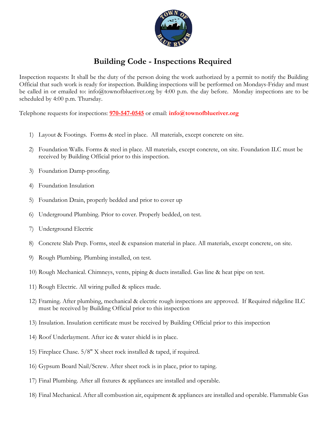

## **Building Code - Inspections Required**

Inspection requests: It shall be the duty of the person doing the work authorized by a permit to notify the Building Official that such work is ready for inspection. Building inspections will be performed on Mondays-Friday and must be called in or emailed to: info@townofblueriver.org by 4:00 p.m. the day before. Monday inspections are to be scheduled by 4:00 p.m. Thursday.

Telephone requests for inspections: **970-547-0545** or email: **info@townofblueriver.org**

- 1) Layout & Footings. Forms & steel in place. All materials, except concrete on site.
- 2) Foundation Walls. Forms & steel in place. All materials, except concrete, on site. Foundation ILC must be received by Building Official prior to this inspection.
- 3) Foundation Damp-proofing.
- 4) Foundation Insulation
- 5) Foundation Drain, properly bedded and prior to cover up
- 6) Underground Plumbing. Prior to cover. Properly bedded, on test.
- 7) Underground Electric
- 8) Concrete Slab Prep. Forms, steel & expansion material in place. All materials, except concrete, on site.
- 9) Rough Plumbing. Plumbing installed, on test.
- 10) Rough Mechanical. Chimneys, vents, piping & ducts installed. Gas line & heat pipe on test.
- 11) Rough Electric. All wiring pulled & splices made.
- 12) Framing. After plumbing, mechanical & electric rough inspections are approved. If Required ridgeline ILC must be received by Building Official prior to this inspection
- 13) Insulation. Insulation certificate must be received by Building Official prior to this inspection
- 14) Roof Underlayment. After ice & water shield is in place.
- 15) Fireplace Chase. 5/8" X sheet rock installed & taped, if required.
- 16) Gypsum Board Nail/Screw. After sheet rock is in place, prior to taping.
- 17) Final Plumbing. After all fixtures & appliances are installed and operable.
- 18) Final Mechanical. After all combustion air, equipment & appliances are installed and operable. Flammable Gas